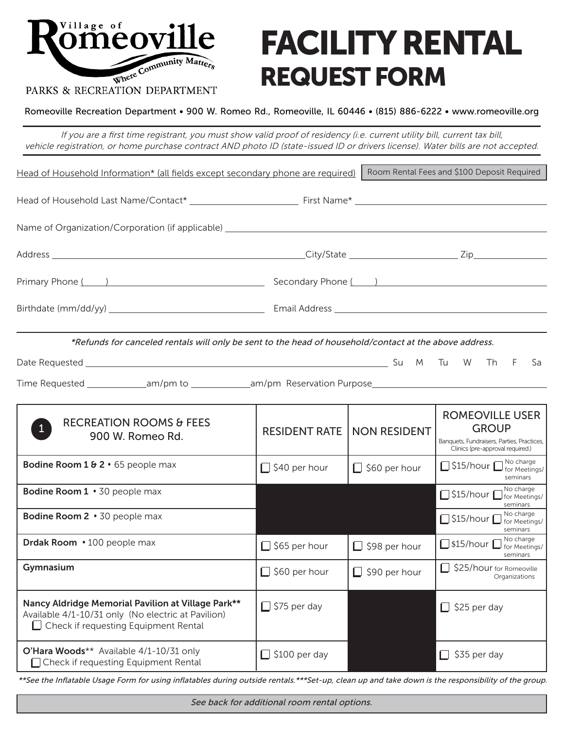

# FACILITY RENTAL REQUEST FORM

## PARKS & RECREATION DEPARTMENT

Romeoville Recreation Department • 900 W. Romeo Rd., Romeoville, IL 60446 • (815) 886-6222 • www.romeoville.org

If you are a first time registrant, you must show valid proof of residency (i.e. current utility bill, current tax bill, vehicle registration, or home purchase contract AND photo ID (state-issued ID or drivers license). Water bills are not accepted.

| Head of Household Information* (all fields except secondary phone are required)                                                                         |                      |                      | Room Rental Fees and \$100 Deposit Required                                                                              |  |
|---------------------------------------------------------------------------------------------------------------------------------------------------------|----------------------|----------------------|--------------------------------------------------------------------------------------------------------------------------|--|
|                                                                                                                                                         |                      |                      |                                                                                                                          |  |
| Name of Organization/Corporation (if applicable) ________________________________                                                                       |                      |                      |                                                                                                                          |  |
|                                                                                                                                                         |                      |                      |                                                                                                                          |  |
| Primary Phone ( )                                                                                                                                       |                      | Secondary Phone ( )  |                                                                                                                          |  |
|                                                                                                                                                         |                      |                      |                                                                                                                          |  |
|                                                                                                                                                         |                      |                      |                                                                                                                          |  |
| *Refunds for canceled rentals will only be sent to the head of household/contact at the above address.                                                  |                      |                      |                                                                                                                          |  |
|                                                                                                                                                         |                      |                      | Th<br>-F<br>Sa                                                                                                           |  |
| Time Requested ________________am/pm to ________________am/pm Reservation Purpose_____________________________                                          |                      |                      |                                                                                                                          |  |
| <b>RECREATION ROOMS &amp; FEES</b><br>900 W. Romeo Rd.                                                                                                  | <b>RESIDENT RATE</b> | <b>NON RESIDENT</b>  | <b>ROMEOVILLE USER</b><br><b>GROUP</b><br>Banquets, Fundraisers, Parties, Practices,<br>Clinics (pre-approval required.) |  |
| <b>Bodine Room 1 &amp; 2 · 65 people max</b>                                                                                                            | $\Box$ \$40 per hour | $\Box$ \$60 per hour | S15/hour Stor Meetings/<br>seminars                                                                                      |  |
| <b>Bodine Room 1</b> $\cdot$ 30 people max                                                                                                              |                      |                      | No charge<br>S15/hour <i>commetings/</i><br>seminars                                                                     |  |
| Bodine Room 2 · 30 people max                                                                                                                           |                      |                      | S15/hour No charge<br>seminars                                                                                           |  |
| Drdak Room $\cdot$ 100 people max                                                                                                                       | $\Box$ \$65 per hour | $\Box$ \$98 per hour | No charge<br>S15/hour For Meetings/<br>seminars                                                                          |  |
| Gymnasium                                                                                                                                               | $\Box$ \$60 per hour | $\Box$ \$90 per hour | S25/hour for Romeoville<br>Organizations                                                                                 |  |
| Nancy Aldridge Memorial Pavilion at Village Park**<br>Available 4/1-10/31 only (No electric at Pavilion)<br>$\Box$ Check if requesting Equipment Rental | $\Box$ \$75 per day  |                      | $\Box$ \$25 per day                                                                                                      |  |
| O'Hara Woods** Available 4/1-10/31 only<br>□ Check if requesting Equipment Rental                                                                       | $\Box$ \$100 per day |                      | $\Box$ \$35 per day                                                                                                      |  |

\*\*See the Inflatable Usage Form for using inflatables during outside rentals.\*\*\*Set-up, clean up and take down is the responsibility of the group.

See back for additional room rental options.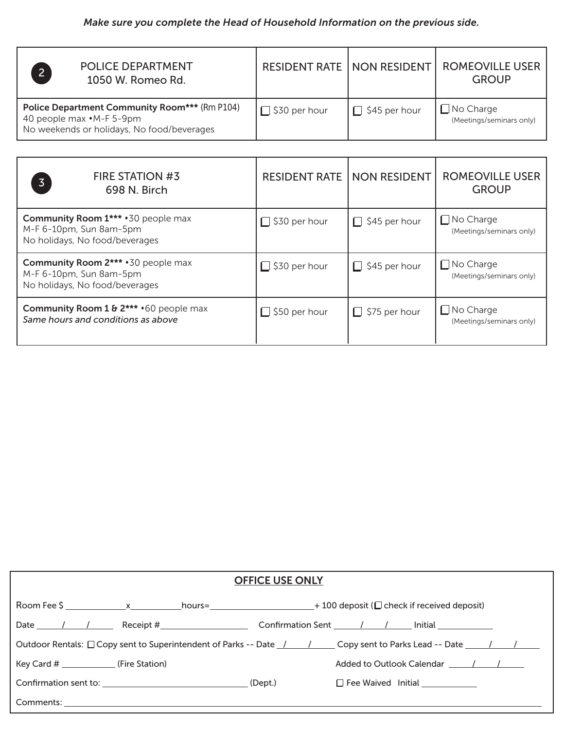## *Make sure you complete the Head of Household Information on the previous side.*

| $\overline{2}$                                                                | <b>POLICE DEPARTMENT</b><br>1050 W. Romeo Rd.        | <b>RESIDENT RATE   NON RESIDENT  </b> |                      | <b>ROMEOVILLE USER</b><br><b>GROUP</b>       |
|-------------------------------------------------------------------------------|------------------------------------------------------|---------------------------------------|----------------------|----------------------------------------------|
| 40 people max $\cdot$ M-F 5-9pm<br>No weekends or holidays, No food/beverages | <b>Police Department Community Room***</b> (Rm P104) | $\Box$ \$30 per hour                  | $\Box$ \$45 per hour | $\Box$ No Charge<br>(Meetings/seminars only) |

| <b>FIRE STATION #3</b><br>$\overline{3}$<br>698 N. Birch                                                | <b>RESIDENT RATE</b> | <b>NON RESIDENT</b>  | <b>ROMEOVILLE USER</b><br><b>GROUP</b>       |
|---------------------------------------------------------------------------------------------------------|----------------------|----------------------|----------------------------------------------|
| <b>Community Room 1***</b> · 30 people max<br>M-F 6-10pm, Sun 8am-5pm<br>No holidays, No food/beverages | $\Box$ \$30 per hour | $\Box$ \$45 per hour | $\Box$ No Charge<br>(Meetings/seminars only) |
| <b>Community Room 2***</b> · 30 people max<br>M-F 6-10pm, Sun 8am-5pm<br>No holidays, No food/beverages | $\Box$ \$30 per hour | $\Box$ \$45 per hour | $\Box$ No Charge<br>(Meetings/seminars only) |
| Community Room 1 & 2*** · 60 people max<br>Same hours and conditions as above                           | $\Box$ \$50 per hour | $\Box$ \$75 per hour | $\Box$ No Charge<br>(Meetings/seminars only) |

| <b>OFFICE USE ONLY</b>                                                                                                                 |  |  |  |                                                      |  |
|----------------------------------------------------------------------------------------------------------------------------------------|--|--|--|------------------------------------------------------|--|
|                                                                                                                                        |  |  |  |                                                      |  |
|                                                                                                                                        |  |  |  |                                                      |  |
| Outdoor Rentals: $\Box$ Copy sent to Superintendent of Parks -- Date $\frac{1}{\Box}$ Copy sent to Parks Lead -- Date $\frac{1}{\Box}$ |  |  |  |                                                      |  |
|                                                                                                                                        |  |  |  | Added to Outlook Calendar (Added to Outlook Calendar |  |
|                                                                                                                                        |  |  |  | □ Fee Waived Initial ___________                     |  |
|                                                                                                                                        |  |  |  |                                                      |  |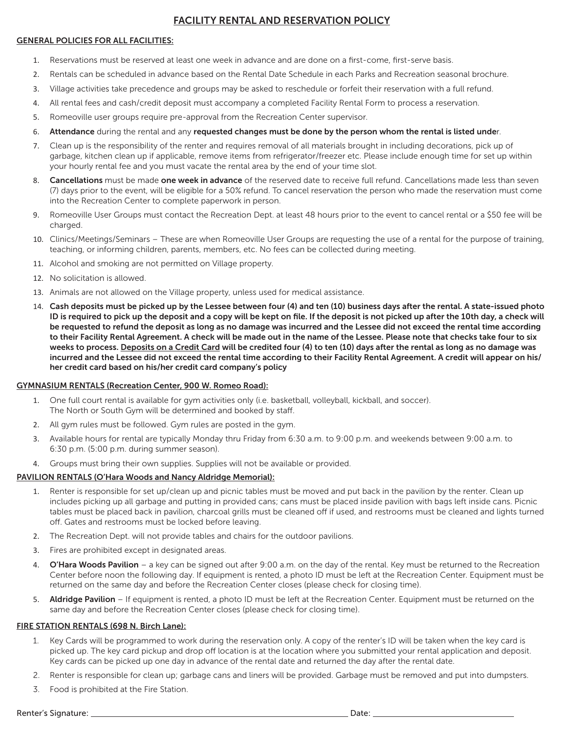## FACILITY RENTAL AND RESERVATION POLICY

## GENERAL POLICIES FOR ALL FACILITIES:

- 1. Reservations must be reserved at least one week in advance and are done on a first-come, first-serve basis.
- 2. Rentals can be scheduled in advance based on the Rental Date Schedule in each Parks and Recreation seasonal brochure.
- 3. Village activities take precedence and groups may be asked to reschedule or forfeit their reservation with a full refund.
- 4. All rental fees and cash/credit deposit must accompany a completed Facility Rental Form to process a reservation.
- 5. Romeoville user groups require pre-approval from the Recreation Center supervisor.
- 6. Attendance during the rental and any requested changes must be done by the person whom the rental is listed under.
- 7. Clean up is the responsibility of the renter and requires removal of all materials brought in including decorations, pick up of garbage, kitchen clean up if applicable, remove items from refrigerator/freezer etc. Please include enough time for set up within your hourly rental fee and you must vacate the rental area by the end of your time slot.
- 8. Cancellations must be made one week in advance of the reserved date to receive full refund. Cancellations made less than seven (7) days prior to the event, will be eligible for a 50% refund. To cancel reservation the person who made the reservation must come into the Recreation Center to complete paperwork in person.
- 9. Romeoville User Groups must contact the Recreation Dept. at least 48 hours prior to the event to cancel rental or a \$50 fee will be charged.
- 10. Clinics/Meetings/Seminars These are when Romeoville User Groups are requesting the use of a rental for the purpose of training, teaching, or informing children, parents, members, etc. No fees can be collected during meeting.
- 11. Alcohol and smoking are not permitted on Village property.
- 12. No solicitation is allowed.
- 13. Animals are not allowed on the Village property, unless used for medical assistance.
- 14. Cash deposits must be picked up by the Lessee between four (4) and ten (10) business days after the rental. A state-issued photo ID is required to pick up the deposit and a copy will be kept on file. If the deposit is not picked up after the 10th day, a check will be requested to refund the deposit as long as no damage was incurred and the Lessee did not exceed the rental time according to their Facility Rental Agreement. A check will be made out in the name of the Lessee. Please note that checks take four to six weeks to process. Deposits on a Credit Card will be credited four (4) to ten (10) days after the rental as long as no damage was incurred and the Lessee did not exceed the rental time according to their Facility Rental Agreement. A credit will appear on his/ her credit card based on his/her credit card company's policy

## GYMNASIUM RENTALS (Recreation Center, 900 W. Romeo Road):

- 1. One full court rental is available for gym activities only (i.e. basketball, volleyball, kickball, and soccer). The North or South Gym will be determined and booked by staff.
- 2. All gym rules must be followed. Gym rules are posted in the gym.
- 3. Available hours for rental are typically Monday thru Friday from 6:30 a.m. to 9:00 p.m. and weekends between 9:00 a.m. to 6:30 p.m. (5:00 p.m. during summer season).
- 4. Groups must bring their own supplies. Supplies will not be available or provided.

## PAVILION RENTALS (O'Hara Woods and Nancy Aldridge Memorial):

- 1. Renter is responsible for set up/clean up and picnic tables must be moved and put back in the pavilion by the renter. Clean up includes picking up all garbage and putting in provided cans; cans must be placed inside pavilion with bags left inside cans. Picnic tables must be placed back in pavilion, charcoal grills must be cleaned off if used, and restrooms must be cleaned and lights turned off. Gates and restrooms must be locked before leaving.
- 2. The Recreation Dept. will not provide tables and chairs for the outdoor pavilions.
- 3. Fires are prohibited except in designated areas.
- 4. O'Hara Woods Pavilion a key can be signed out after 9:00 a.m. on the day of the rental. Key must be returned to the Recreation Center before noon the following day. If equipment is rented, a photo ID must be left at the Recreation Center. Equipment must be returned on the same day and before the Recreation Center closes (please check for closing time).
- 5. Aldridge Pavilion If equipment is rented, a photo ID must be left at the Recreation Center. Equipment must be returned on the same day and before the Recreation Center closes (please check for closing time).

## FIRE STATION RENTALS (698 N. Birch Lane):

- 1. Key Cards will be programmed to work during the reservation only. A copy of the renter's ID will be taken when the key card is picked up. The key card pickup and drop off location is at the location where you submitted your rental application and deposit. Key cards can be picked up one day in advance of the rental date and returned the day after the rental date.
- 2. Renter is responsible for clean up; garbage cans and liners will be provided. Garbage must be removed and put into dumpsters.
- 3. Food is prohibited at the Fire Station.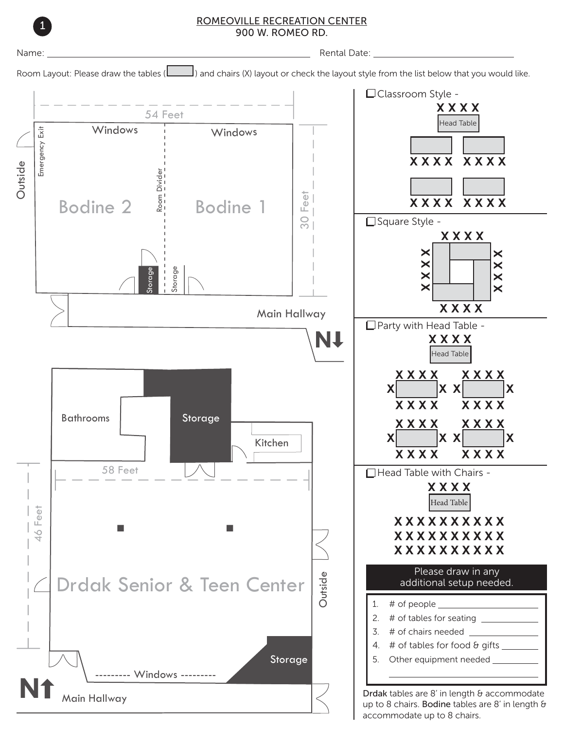

ROMEOVILLE RECREATION CENTER 900 W. ROMEO RD. <sup>1</sup>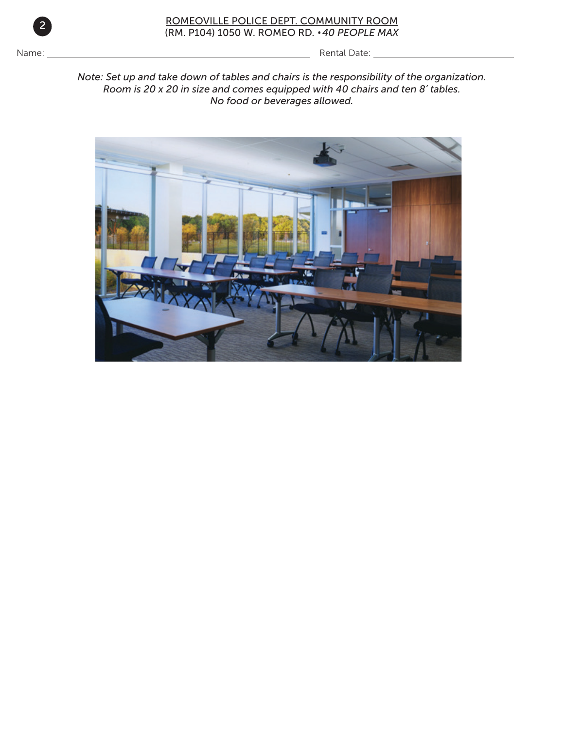

## ROMEOVILLE POLICE DEPT. COMMUNITY ROOM (RM. P104) 1050 W. ROMEO RD. • *40 PEOPLE MAX* <sup>2</sup>

Name: Rental Date:

*Note: Set up and take down of tables and chairs is the responsibility of the organization. Room is 20 x 20 in size and comes equipped with 40 chairs and ten 8' tables. No food or beverages allowed.*

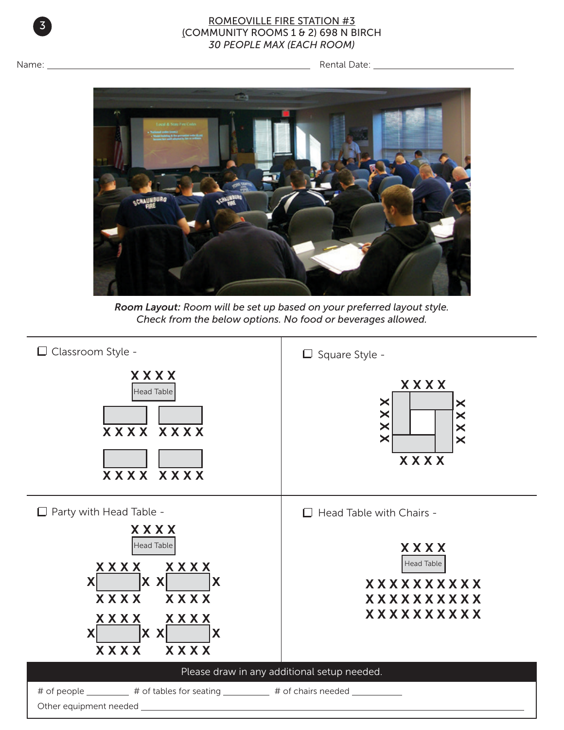

## ROMEOVILLE FIRE STATION #3 (COMMUNITY ROOMS 1 & 2) 698 N BIRCH *30 PEOPLE MAX (EACH ROOM)*

Name: Rental Date:



*Room Layout: Room will be set up based on your preferred layout style. Check from the below options. No food or beverages allowed.*